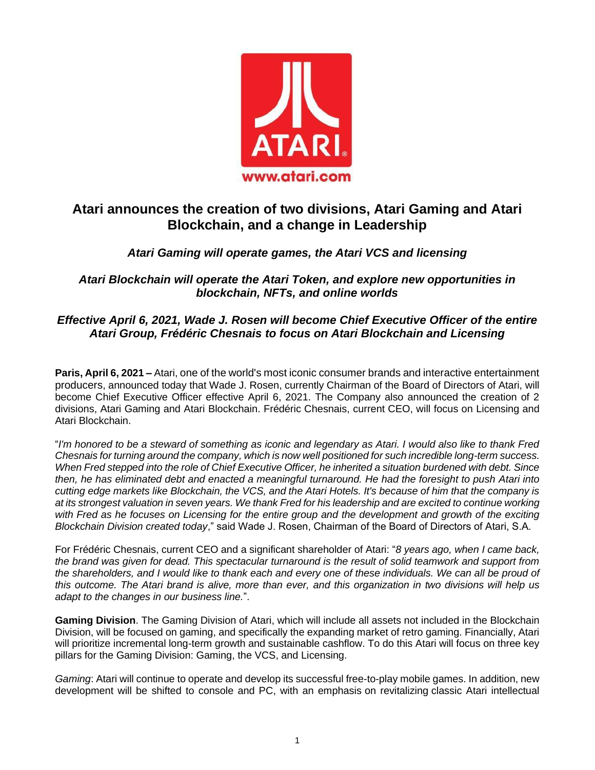

# **Atari announces the creation of two divisions, Atari Gaming and Atari Blockchain, and a change in Leadership**

## *Atari Gaming will operate games, the Atari VCS and licensing*

*Atari Blockchain will operate the Atari Token, and explore new opportunities in blockchain, NFTs, and online worlds*

### *Effective April 6, 2021, Wade J. Rosen will become Chief Executive Officer of the entire Atari Group, Frédéric Chesnais to focus on Atari Blockchain and Licensing*

**Paris, April 6, 2021 –** Atari, one of the world's most iconic consumer brands and interactive entertainment producers, announced today that Wade J. Rosen, currently Chairman of the Board of Directors of Atari, will become Chief Executive Officer effective April 6, 2021. The Company also announced the creation of 2 divisions, Atari Gaming and Atari Blockchain. Frédéric Chesnais, current CEO, will focus on Licensing and Atari Blockchain.

"*I'm honored to be a steward of something as iconic and legendary as Atari. I would also like to thank Fred Chesnais for turning around the company, which is now well positioned for such incredible long-term success. When Fred stepped into the role of Chief Executive Officer, he inherited a situation burdened with debt. Since then, he has eliminated debt and enacted a meaningful turnaround. He had the foresight to push Atari into cutting edge markets like Blockchain, the VCS, and the Atari Hotels. It's because of him that the company is at its strongest valuation in seven years. We thank Fred for his leadership and are excited to continue working with Fred as he focuses on Licensing for the entire group and the development and growth of the exciting Blockchain Division created today*," said Wade J. Rosen, Chairman of the Board of Directors of Atari, S.A.

For Frédéric Chesnais, current CEO and a significant shareholder of Atari: "*8 years ago, when I came back, the brand was given for dead. This spectacular turnaround is the result of solid teamwork and support from the shareholders, and I would like to thank each and every one of these individuals. We can all be proud of this outcome. The Atari brand is alive, more than ever, and this organization in two divisions will help us adapt to the changes in our business line.*".

**Gaming Division**. The Gaming Division of Atari, which will include all assets not included in the Blockchain Division, will be focused on gaming, and specifically the expanding market of retro gaming. Financially, Atari will prioritize incremental long-term growth and sustainable cashflow. To do this Atari will focus on three key pillars for the Gaming Division: Gaming, the VCS, and Licensing.

*Gaming*: Atari will continue to operate and develop its successful free-to-play mobile games. In addition, new development will be shifted to console and PC, with an emphasis on revitalizing classic Atari intellectual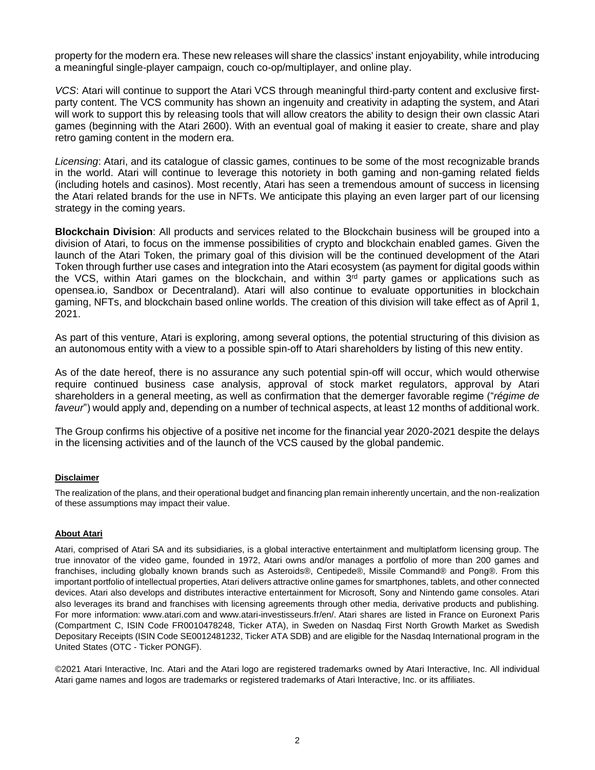property for the modern era. These new releases will share the classics' instant enjoyability, while introducing a meaningful single-player campaign, couch co-op/multiplayer, and online play.

*VCS*: Atari will continue to support the Atari VCS through meaningful third-party content and exclusive firstparty content. The VCS community has shown an ingenuity and creativity in adapting the system, and Atari will work to support this by releasing tools that will allow creators the ability to design their own classic Atari games (beginning with the Atari 2600). With an eventual goal of making it easier to create, share and play retro gaming content in the modern era.

*Licensing*: Atari, and its catalogue of classic games, continues to be some of the most recognizable brands in the world. Atari will continue to leverage this notoriety in both gaming and non-gaming related fields (including hotels and casinos). Most recently, Atari has seen a tremendous amount of success in licensing the Atari related brands for the use in NFTs. We anticipate this playing an even larger part of our licensing strategy in the coming years.

**Blockchain Division**: All products and services related to the Blockchain business will be grouped into a division of Atari, to focus on the immense possibilities of crypto and blockchain enabled games. Given the launch of the Atari Token, the primary goal of this division will be the continued development of the Atari Token through further use cases and integration into the Atari ecosystem (as payment for digital goods within the VCS, within Atari games on the blockchain, and within 3<sup>rd</sup> party games or applications such as opensea.io, Sandbox or Decentraland). Atari will also continue to evaluate opportunities in blockchain gaming, NFTs, and blockchain based online worlds. The creation of this division will take effect as of April 1, 2021.

As part of this venture, Atari is exploring, among several options, the potential structuring of this division as an autonomous entity with a view to a possible spin-off to Atari shareholders by listing of this new entity.

As of the date hereof, there is no assurance any such potential spin-off will occur, which would otherwise require continued business case analysis, approval of stock market regulators, approval by Atari shareholders in a general meeting, as well as confirmation that the demerger favorable regime ("*régime de faveur*") would apply and, depending on a number of technical aspects, at least 12 months of additional work.

The Group confirms his objective of a positive net income for the financial year 2020-2021 despite the delays in the licensing activities and of the launch of the VCS caused by the global pandemic.

#### **Disclaimer**

The realization of the plans, and their operational budget and financing plan remain inherently uncertain, and the non-realization of these assumptions may impact their value.

#### **About Atari**

Atari, comprised of Atari SA and its subsidiaries, is a global interactive entertainment and multiplatform licensing group. The true innovator of the video game, founded in 1972, Atari owns and/or manages a portfolio of more than 200 games and franchises, including globally known brands such as Asteroids®, Centipede®, Missile Command® and Pong®. From this important portfolio of intellectual properties, Atari delivers attractive online games for smartphones, tablets, and other connected devices. Atari also develops and distributes interactive entertainment for Microsoft, Sony and Nintendo game consoles. Atari also leverages its brand and franchises with licensing agreements through other media, derivative products and publishing. For more information: [www.atari.com](https://c212.net/c/link/?t=0&l=en&o=2333252-1&h=811462502&u=http%3A%2F%2Fwww.atari.com%2F&a=www.atari.com) and [www.atari-investisseurs.fr/](http://www.atari-investisseurs.fr/en/)en/. Atari shares are listed in France on Euronext Paris (Compartment C, ISIN Code FR0010478248, Ticker ATA), in Sweden on Nasdaq First North Growth Market as Swedish Depositary Receipts (ISIN Code SE0012481232, Ticker ATA SDB) and are eligible for the Nasdaq International program in the United States (OTC - Ticker PONGF).

©2021 Atari Interactive, Inc. Atari and the Atari logo are registered trademarks owned by Atari Interactive, Inc. All individual Atari game names and logos are trademarks or registered trademarks of Atari Interactive, Inc. or its affiliates.